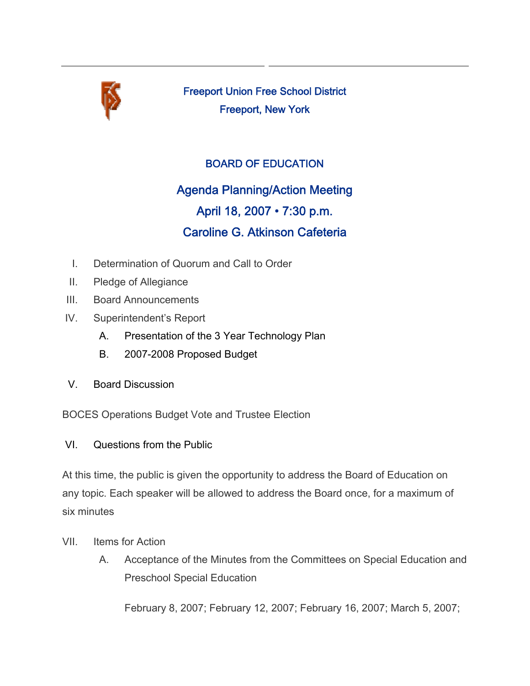

Freeport Union Free School District Freeport, New York

## BOARD OF EDUCATION

Agenda Planning/Action Meeting April 18, 2007 • 7:30 p.m. Caroline G. Atkinson Cafeteria

- I. Determination of Quorum and Call to Order
- II. Pledge of Allegiance
- III. Board Announcements
- IV. Superintendent's Report
	- A. Presentation of the 3 Year Technology Plan
	- B. 2007-2008 Proposed Budget
- V. Board Discussion

BOCES Operations Budget Vote and Trustee Election

VI. Questions from the Public

At this time, the public is given the opportunity to address the Board of Education on any topic. Each speaker will be allowed to address the Board once, for a maximum of six minutes

- VII. Items for Action
	- A. Acceptance of the Minutes from the Committees on Special Education and Preschool Special Education

February 8, 2007; February 12, 2007; February 16, 2007; March 5, 2007;